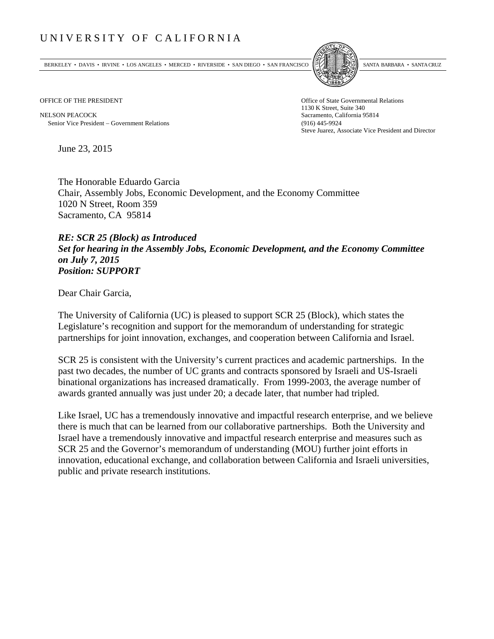## UNIVERSITY OF CALIFORNIA

BERKELEY • DAVIS • IRVINE • LOS ANGELES • MERCED • RIVERSIDE • SAN DIEGO • SAN FRANCISCO SANTA BARBARA • SANTA CRUZ



OFFICE OF THE PRESIDENT STATES OF THE PRESIDENT

NELSON PEACOCK Sacramento, California 95814 Senior Vice President Government Relations (916) 445-9924

1130 K Street, Suite 340 Steve Juarez, Associate Vice President and Director

June 23, 2015

The Honorable Eduardo Garcia Chair, Assembly Jobs, Economic Development, and the Economy Committee 1020 N Street, Room 359 Sacramento, CA 95814

## *RE: SCR 25 (Block) as Introduced Set for hearing in the Assembly Jobs, Economic Development, and the Economy Committee on July 7, 2015 Position: SUPPORT*

Dear Chair Garcia,

The University of California (UC) is pleased to support SCR 25 (Block), which states the Legislature's recognition and support for the memorandum of understanding for strategic partnerships for joint innovation, exchanges, and cooperation between California and Israel.

SCR 25 is consistent with the University's current practices and academic partnerships. In the past two decades, the number of UC grants and contracts sponsored by Israeli and US-Israeli binational organizations has increased dramatically. From 1999-2003, the average number of awards granted annually was just under 20; a decade later, that number had tripled.

Like Israel, UC has a tremendously innovative and impactful research enterprise, and we believe there is much that can be learned from our collaborative partnerships. Both the University and Israel have a tremendously innovative and impactful research enterprise and measures such as SCR 25 and the Governor's memorandum of understanding (MOU) further joint efforts in innovation, educational exchange, and collaboration between California and Israeli universities, public and private research institutions.